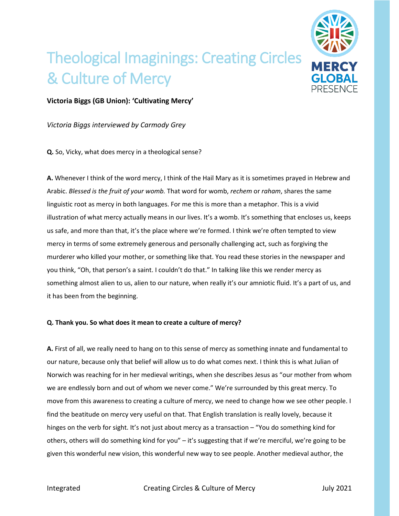

## Theological Imaginings: Creating Circles & Culture of Mercy

## **Victoria Biggs (GB Union): 'Cultivating Mercy'**

*Victoria Biggs interviewed by Carmody Grey*

**Q.** So, Vicky, what does mercy in a theological sense?

**A.** Whenever I think of the word mercy, I think of the Hail Mary as it is sometimes prayed in Hebrew and Arabic. *Blessed is the fruit of your womb.* That word for womb, *rechem* or *raham*, shares the same linguistic root as mercy in both languages. For me this is more than a metaphor. This is a vivid illustration of what mercy actually means in our lives. It's a womb. It's something that encloses us, keeps us safe, and more than that, it's the place where we're formed. I think we're often tempted to view mercy in terms of some extremely generous and personally challenging act, such as forgiving the murderer who killed your mother, or something like that. You read these stories in the newspaper and you think, "Oh, that person's a saint. I couldn't do that." In talking like this we render mercy as something almost alien to us, alien to our nature, when really it's our amniotic fluid. It's a part of us, and it has been from the beginning.

## **Q. Thank you. So what does it mean to create a culture of mercy?**

**A.** First of all, we really need to hang on to this sense of mercy as something innate and fundamental to our nature, because only that belief will allow us to do what comes next. I think this is what Julian of Norwich was reaching for in her medieval writings, when she describes Jesus as "our mother from whom we are endlessly born and out of whom we never come." We're surrounded by this great mercy. To move from this awareness to creating a culture of mercy, we need to change how we see other people. I find the beatitude on mercy very useful on that. That English translation is really lovely, because it hinges on the verb for sight. It's not just about mercy as a transaction – "You do something kind for others, others will do something kind for you" – it's suggesting that if we're merciful, we're going to be given this wonderful new vision, this wonderful new way to see people. Another medieval author, the